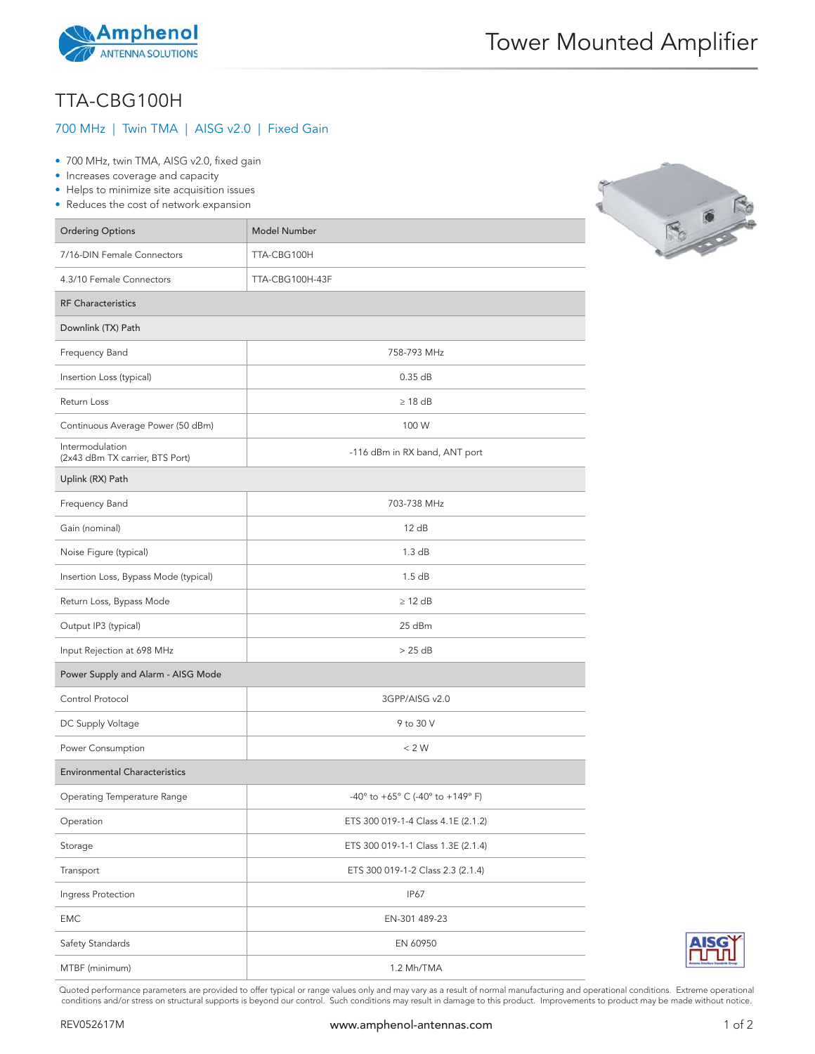

## TTA-CBG100H

## 700 MHz | Twin TMA | AISG v2.0 | Fixed Gain

- 700 MHz, twin TMA, AISG v2.0, fixed gain
- Increases coverage and capacity
- Helps to minimize site acquisition issues
- Reduces the cost of network expansion

| <b>Ordering Options</b>                            | Model Number                       |
|----------------------------------------------------|------------------------------------|
| 7/16-DIN Female Connectors                         | TTA-CBG100H                        |
| 4.3/10 Female Connectors                           | TTA-CBG100H-43F                    |
| <b>RF Characteristics</b>                          |                                    |
| Downlink (TX) Path                                 |                                    |
| Frequency Band                                     | 758-793 MHz                        |
| Insertion Loss (typical)                           | $0.35$ dB                          |
| Return Loss                                        | $\geq$ 18 dB                       |
| Continuous Average Power (50 dBm)                  | 100 W                              |
| Intermodulation<br>(2x43 dBm TX carrier, BTS Port) | -116 dBm in RX band, ANT port      |
| Uplink (RX) Path                                   |                                    |
| Frequency Band                                     | 703-738 MHz                        |
| Gain (nominal)                                     | 12 dB                              |
| Noise Figure (typical)                             | 1.3 dB                             |
| Insertion Loss, Bypass Mode (typical)              | 1.5dB                              |
| Return Loss, Bypass Mode                           | $\geq$ 12 dB                       |
| Output IP3 (typical)                               | 25 dBm                             |
| Input Rejection at 698 MHz                         | >25 dB                             |
| Power Supply and Alarm - AISG Mode                 |                                    |
| Control Protocol                                   | 3GPP/AISG v2.0                     |
| DC Supply Voltage                                  | 9 to 30 V                          |
| Power Consumption                                  | < 2 W                              |
| <b>Environmental Characteristics</b>               |                                    |
| Operating Temperature Range                        | -40° to +65° C (-40° to +149° F)   |
| Operation                                          | ETS 300 019-1-4 Class 4.1E (2.1.2) |
| Storage                                            | ETS 300 019-1-1 Class 1.3E (2.1.4) |
| Transport                                          | ETS 300 019-1-2 Class 2.3 (2.1.4)  |
| Ingress Protection                                 | <b>IP67</b>                        |
| <b>EMC</b>                                         | EN-301 489-23                      |
| Safety Standards                                   | EN 60950                           |
| MTBF (minimum)                                     | 1.2 Mh/TMA                         |



Quoted performance parameters are provided to offer typical or range values only and may vary as a result of normal manufacturing and operational conditions. Extreme operational conditions and/or stress on structural supports is beyond our control. Such conditions may result in damage to this product. Improvements to product may be made without notice.